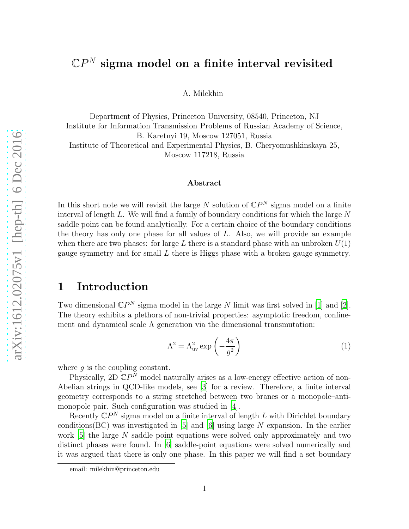# $\mathbb{C}P^{N}$  sigma model on a finite interval revisited

A. Milekhin

Department of Physics, Princeton University, 08540, Princeton, NJ Institute for Information Transmission Problems of Russian Academy of Science, B. Karetnyi 19, Moscow 127051, Russia Institute of Theoretical and Experimental Physics, B. Cheryomushkinskaya 25, Moscow 117218, Russia

#### Abstract

In this short note we will revisit the large N solution of  $\mathbb{C}P^N$  sigma model on a finite interval of length  $L$ . We will find a family of boundary conditions for which the large  $N$ saddle point can be found analytically. For a certain choice of the boundary conditions the theory has only one phase for all values of L. Also, we will provide an example when there are two phases: for large L there is a standard phase with an unbroken  $U(1)$ gauge symmetry and for small L there is Higgs phase with a broken gauge symmetry.

### 1 Introduction

Two dimensional  $\mathbb{C}P^N$  sigma model in the large N limit was first solved in [\[1\]](#page-6-0) and [\[2](#page-6-1)]. The theory exhibits a plethora of non-trivial properties: asymptotic freedom, confinement and dynamical scale  $\Lambda$  generation via the dimensional transmutation:

<span id="page-0-0"></span>
$$
\Lambda^2 = \Lambda_{\text{uv}}^2 \exp\left(-\frac{4\pi}{g^2}\right) \tag{1}
$$

where  $q$  is the coupling constant.

Physically, 2D  $\mathbb{C}P^N$  model naturally arises as a low-energy effective action of non-Abelian strings in QCD-like models, see [\[3\]](#page-6-2) for a review. Therefore, a finite interval geometry corresponds to a string stretched between two branes or a monopole–antimonopole pair. Such configuration was studied in [\[4\]](#page-6-3).

Recently  $\mathbb{C}P^N$  sigma model on a finite interval of length L with Dirichlet boundary conditions  $(BC)$  was investigated in [\[5\]](#page-6-4) and [\[6\]](#page-6-5) using large N expansion. In the earlier work  $[5]$  the large N saddle point equations were solved only approximately and two distinct phases were found. In [\[6\]](#page-6-5) saddle-point equations were solved numerically and it was argued that there is only one phase. In this paper we will find a set boundary

email: milekhin@princeton.edu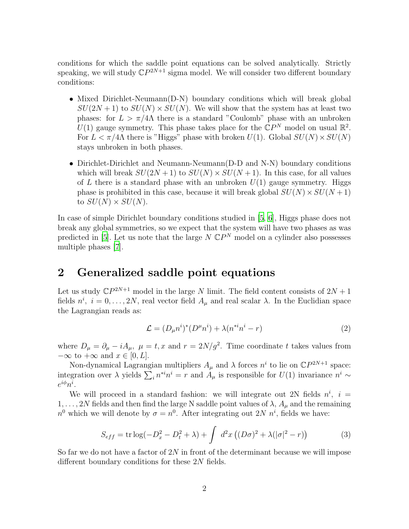conditions for which the saddle point equations can be solved analytically. Strictly speaking, we will study  $\mathbb{C}P^{2N+1}$  sigma model. We will consider two different boundary conditions:

- Mixed Dirichlet-Neumann(D-N) boundary conditions which will break global  $SU(2N+1)$  to  $SU(N) \times SU(N)$ . We will show that the system has at least two phases: for  $L > \pi/4\Lambda$  there is a standard "Coulomb" phase with an unbroken  $U(1)$  gauge symmetry. This phase takes place for the  $\mathbb{C}P^N$  model on usual  $\mathbb{R}^2$ . For  $L < \pi/4\Lambda$  there is "Higgs" phase with broken  $U(1)$ . Global  $SU(N) \times SU(N)$ stays unbroken in both phases.
- Dirichlet-Dirichlet and Neumann-Neumann(D-D and N-N) boundary conditions which will break  $SU(2N+1)$  to  $SU(N) \times SU(N+1)$ . In this case, for all values of L there is a standard phase with an unbroken  $U(1)$  gauge symmetry. Higgs phase is prohibited in this case, because it will break global  $SU(N) \times SU(N + 1)$ to  $SU(N) \times SU(N)$ .

In case of simple Dirichlet boundary conditions studied in [\[5,](#page-6-4) [6\]](#page-6-5), Higgs phase does not break any global symmetries, so we expect that the system will have two phases as was predicted in [\[5](#page-6-4)]. Let us note that the large  $N \mathbb{C}P^N$  model on a cylinder also possesses multiple phases [\[7\]](#page-6-6).

# 2 Generalized saddle point equations

Let us study  $\mathbb{C}P^{2N+1}$  model in the large N limit. The field content consists of  $2N+1$ fields  $n^i$ ,  $i = 0, \ldots, 2N$ , real vector field  $A_\mu$  and real scalar  $\lambda$ . In the Euclidian space the Lagrangian reads as:

$$
\mathcal{L} = (D_{\mu}n^i)^*(D^{\mu}n^i) + \lambda(n^{*i}n^i - r)
$$
\n(2)

where  $D_{\mu} = \partial_{\mu} - iA_{\mu}$ ,  $\mu = t, x$  and  $r = 2N/g^2$ . Time coordinate t takes values from  $-\infty$  to  $+\infty$  and  $x \in [0, L]$ .

Non-dynamical Lagrangian multipliers  $A_{\mu}$  and  $\lambda$  forces  $n^{i}$  to lie on  $\mathbb{C}P^{2N+1}$  space: integration over  $\lambda$  yields  $\sum_i n^{*i}n^i = r$  and  $A_\mu$  is responsible for  $U(1)$  invariance  $n^i \sim$  $e^{i\phi}n^i$ .

<span id="page-1-0"></span>We will proceed in a standard fashion: we will integrate out 2N fields  $n^i$ ,  $i =$  $1, \ldots, 2N$  fields and then find the large N saddle point values of  $\lambda$ ,  $A_\mu$  and the remaining  $n^0$  which we will denote by  $\sigma = n^0$ . After integrating out  $2N$   $n^i$ , fields we have:

$$
S_{eff} = \text{tr} \log(-D_x^2 - D_t^2 + \lambda) + \int d^2x \left( (D\sigma)^2 + \lambda(|\sigma|^2 - r) \right) \tag{3}
$$

So far we do not have a factor of  $2N$  in front of the determinant because we will impose different boundary conditions for these 2N fields.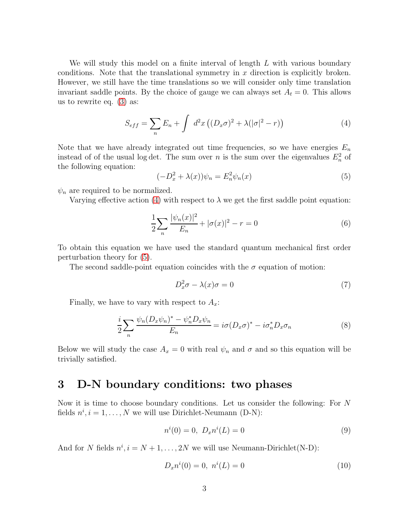We will study this model on a finite interval of length L with various boundary conditions. Note that the translational symmetry in  $x$  direction is explicitly broken. However, we still have the time translations so we will consider only time translation invariant saddle points. By the choice of gauge we can always set  $A_t = 0$ . This allows us to rewrite eq. [\(3\)](#page-1-0) as:

<span id="page-2-0"></span>
$$
S_{eff} = \sum_{n} E_n + \int d^2x \left( (D_x \sigma)^2 + \lambda (|\sigma|^2 - r) \right) \tag{4}
$$

Note that we have already integrated out time frequencies, so we have energies  $E_n$ instead of of the usual log det. The sum over n is the sum over the eigenvalues  $E_n^2$  of the following equation:

<span id="page-2-1"></span>
$$
(-D_x^2 + \lambda(x))\psi_n = E_n^2 \psi_n(x)
$$
\n<sup>(5)</sup>

 $\psi_n$  are required to be normalized.

Varying effective action [\(4\)](#page-2-0) with respect to  $\lambda$  we get the first saddle point equation:

$$
\frac{1}{2} \sum_{n} \frac{|\psi_n(x)|^2}{E_n} + |\sigma(x)|^2 - r = 0 \tag{6}
$$

To obtain this equation we have used the standard quantum mechanical first order perturbation theory for [\(5\)](#page-2-1).

The second saddle-point equation coincides with the  $\sigma$  equation of motion:

<span id="page-2-3"></span><span id="page-2-2"></span>
$$
D_x^2 \sigma - \lambda(x)\sigma = 0 \tag{7}
$$

Finally, we have to vary with respect to  $A_x$ :

$$
\frac{i}{2} \sum_{n} \frac{\psi_n (D_x \psi_n)^* - \psi_n^* D_x \psi_n}{E_n} = i \sigma (D_x \sigma)^* - i \sigma_n^* D_x \sigma_n \tag{8}
$$

Below we will study the case  $A_x = 0$  with real  $\psi_n$  and  $\sigma$  and so this equation will be trivially satisfied.

# 3 D-N boundary conditions: two phases

Now it is time to choose boundary conditions. Let us consider the following: For N fields  $n^i, i = 1, ..., N$  we will use Dirichlet-Neumann (D-N):

$$
n^{i}(0) = 0, D_{x}n^{i}(L) = 0
$$
\n(9)

And for N fields  $n^i$ ,  $i = N + 1, ..., 2N$  we will use Neumann-Dirichlet(N-D):

$$
D_x n^i(0) = 0, \quad n^i(L) = 0 \tag{10}
$$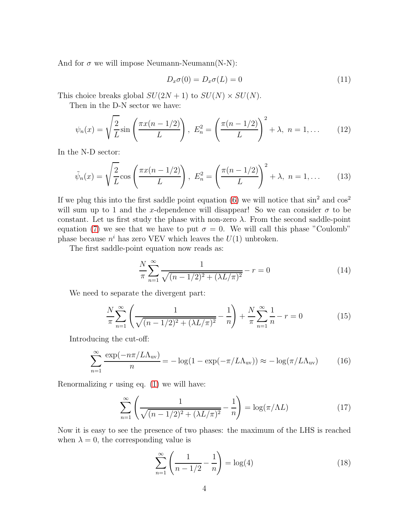And for  $\sigma$  we will impose Neumann-Neumann(N-N):

$$
D_x \sigma(0) = D_x \sigma(L) = 0 \tag{11}
$$

This choice breaks global  $SU(2N+1)$  to  $SU(N) \times SU(N)$ .

Then in the D-N sector we have:

$$
\psi_n(x) = \sqrt{\frac{2}{L}} \sin\left(\frac{\pi x(n - 1/2)}{L}\right), \ E_n^2 = \left(\frac{\pi (n - 1/2)}{L}\right)^2 + \lambda, \ n = 1, \dots \tag{12}
$$

In the N-D sector:

$$
\tilde{\psi}_n(x) = \sqrt{\frac{2}{L}} \cos\left(\frac{\pi x(n-1/2)}{L}\right), \ E_n^2 = \left(\frac{\pi(n-1/2)}{L}\right)^2 + \lambda, \ n = 1, \dots \tag{13}
$$

If we plug this into the first saddle point equation [\(6\)](#page-2-2) we will notice that  $\sin^2$  and  $\cos^2$ will sum up to 1 and the x-dependence will disappear! So we can consider  $\sigma$  to be constant. Let us first study the phase with non-zero  $\lambda$ . From the second saddle-point equation [\(7\)](#page-2-3) we see that we have to put  $\sigma = 0$ . We will call this phase "Coulomb" phase because  $n^i$  has zero VEV which leaves the  $U(1)$  unbroken.

The first saddle-point equation now reads as:

$$
\frac{N}{\pi} \sum_{n=1}^{\infty} \frac{1}{\sqrt{(n-1/2)^2 + (\lambda L/\pi)^2}} - r = 0
$$
\n(14)

We need to separate the divergent part:

$$
\frac{N}{\pi} \sum_{n=1}^{\infty} \left( \frac{1}{\sqrt{(n-1/2)^2 + (\lambda L/\pi)^2}} - \frac{1}{n} \right) + \frac{N}{\pi} \sum_{n=1}^{\infty} \frac{1}{n} - r = 0 \tag{15}
$$

Introducing the cut-off:

$$
\sum_{n=1}^{\infty} \frac{\exp(-n\pi/L\Lambda_{\rm uv})}{n} = -\log(1 - \exp(-\pi/L\Lambda_{\rm uv})) \approx -\log(\pi/L\Lambda_{\rm uv}) \tag{16}
$$

Renormalizing r using eq.  $(1)$  we will have:

$$
\sum_{n=1}^{\infty} \left( \frac{1}{\sqrt{(n-1/2)^2 + (\lambda L/\pi)^2}} - \frac{1}{n} \right) = \log(\pi/\Lambda L)
$$
 (17)

Now it is easy to see the presence of two phases: the maximum of the LHS is reached when  $\lambda = 0$ , the corresponding value is

$$
\sum_{n=1}^{\infty} \left( \frac{1}{n - 1/2} - \frac{1}{n} \right) = \log(4)
$$
 (18)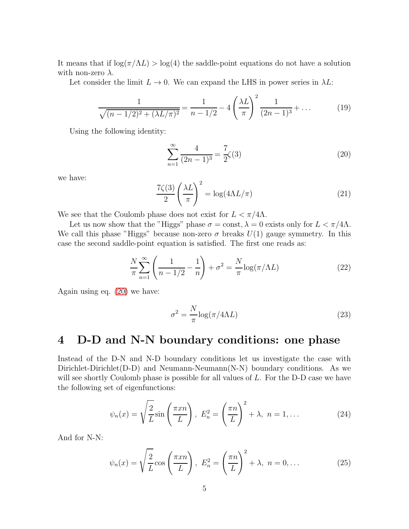It means that if  $\log(\pi/\Lambda L) > \log(4)$  the saddle-point equations do not have a solution with non-zero  $\lambda$ .

Let consider the limit  $L \to 0$ . We can expand the LHS in power series in  $\lambda L$ :

$$
\frac{1}{\sqrt{(n-1/2)^2 + (\lambda L/\pi)^2}} = \frac{1}{n-1/2} - 4\left(\frac{\lambda L}{\pi}\right)^2 \frac{1}{(2n-1)^3} + \dots
$$
 (19)

Using the following identity:

<span id="page-4-0"></span>
$$
\sum_{n=1}^{\infty} \frac{4}{(2n-1)^3} = \frac{7}{2}\zeta(3)
$$
\n(20)

we have:

$$
\frac{7\zeta(3)}{2}\left(\frac{\lambda L}{\pi}\right)^2 = \log(4\Lambda L/\pi) \tag{21}
$$

We see that the Coulomb phase does not exist for  $L < \pi/4\Lambda$ .

Let us now show that the "Higgs" phase  $\sigma = \text{const}, \lambda = 0$  exists only for  $L < \pi/4\Lambda$ . We call this phase "Higgs" because non-zero  $\sigma$  breaks  $U(1)$  gauge symmetry. In this case the second saddle-point equation is satisfied. The first one reads as:

$$
\frac{N}{\pi} \sum_{n=1}^{\infty} \left( \frac{1}{n - 1/2} - \frac{1}{n} \right) + \sigma^2 = \frac{N}{\pi} \log(\pi / \Lambda L) \tag{22}
$$

Again using eq. [\(20\)](#page-4-0) we have:

$$
\sigma^2 = \frac{N}{\pi} \log(\pi / 4\Lambda L) \tag{23}
$$

# 4 D-D and N-N boundary conditions: one phase

Instead of the D-N and N-D boundary conditions let us investigate the case with Dirichlet-Dirichlet(D-D) and Neumann-Neumann $(N-N)$  boundary conditions. As we will see shortly Coulomb phase is possible for all values of L. For the D-D case we have the following set of eigenfunctions:

$$
\psi_n(x) = \sqrt{\frac{2}{L}} \sin\left(\frac{\pi x n}{L}\right), \ E_n^2 = \left(\frac{\pi n}{L}\right)^2 + \lambda, \ n = 1, \dots \tag{24}
$$

And for N-N:

$$
\psi_n(x) = \sqrt{\frac{2}{L}} \cos\left(\frac{\pi x n}{L}\right), \ E_n^2 = \left(\frac{\pi n}{L}\right)^2 + \lambda, \ n = 0, \dots \tag{25}
$$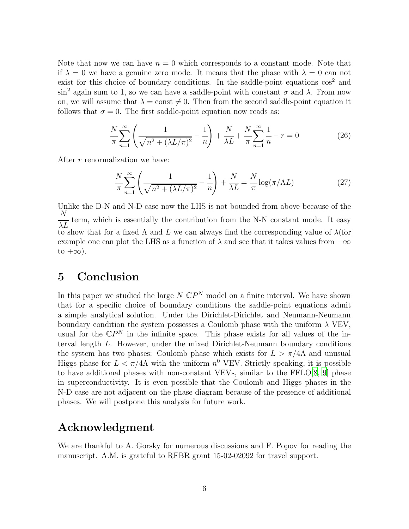Note that now we can have  $n = 0$  which corresponds to a constant mode. Note that if  $\lambda = 0$  we have a genuine zero mode. It means that the phase with  $\lambda = 0$  can not exist for this choice of boundary conditions. In the saddle-point equations  $\cos^2$  and sin<sup>2</sup> again sum to 1, so we can have a saddle-point with constant  $\sigma$  and  $\lambda$ . From now on, we will assume that  $\lambda = \text{const} \neq 0$ . Then from the second saddle-point equation it follows that  $\sigma = 0$ . The first saddle-point equation now reads as:

$$
\frac{N}{\pi} \sum_{n=1}^{\infty} \left( \frac{1}{\sqrt{n^2 + (\lambda L/\pi)^2}} - \frac{1}{n} \right) + \frac{N}{\lambda L} + \frac{N}{\pi} \sum_{n=1}^{\infty} \frac{1}{n} - r = 0 \tag{26}
$$

After r renormalization we have:

$$
\frac{N}{\pi} \sum_{n=1}^{\infty} \left( \frac{1}{\sqrt{n^2 + (\lambda L/\pi)^2}} - \frac{1}{n} \right) + \frac{N}{\lambda L} = \frac{N}{\pi} \log(\pi/\Lambda L)
$$
 (27)

Unlike the D-N and N-D case now the LHS is not bounded from above because of the N  $\overline{\lambda L}$  term, which is essentially the contribution from the N-N constant mode. It easy to show that for a fixed  $\Lambda$  and  $L$  we can always find the corresponding value of  $\lambda$  (for example one can plot the LHS as a function of  $\lambda$  and see that it takes values from  $-\infty$ to  $+\infty$ ).

## 5 Conclusion

In this paper we studied the large  $N \mathbb{C}P^N$  model on a finite interval. We have shown that for a specific choice of boundary conditions the saddle-point equations admit a simple analytical solution. Under the Dirichlet-Dirichlet and Neumann-Neumann boundary condition the system possesses a Coulomb phase with the uniform  $\lambda$  VEV, usual for the  $\mathbb{C}P^N$  in the infinite space. This phase exists for all values of the interval length L. However, under the mixed Dirichlet-Neumann boundary conditions the system has two phases: Coulomb phase which exists for  $L > \pi/4\Lambda$  and unusual Higgs phase for  $L < \pi/4\Lambda$  with the uniform  $n^0$  VEV. Strictly speaking, it is possible to have additional phases with non-constant VEVs, similar to the FFLO[\[8](#page-6-7), [9\]](#page-6-8) phase in superconductivity. It is even possible that the Coulomb and Higgs phases in the N-D case are not adjacent on the phase diagram because of the presence of additional phases. We will postpone this analysis for future work.

# Acknowledgment

We are thankful to A. Gorsky for numerous discussions and F. Popov for reading the manuscript. A.M. is grateful to RFBR grant 15-02-02092 for travel support.